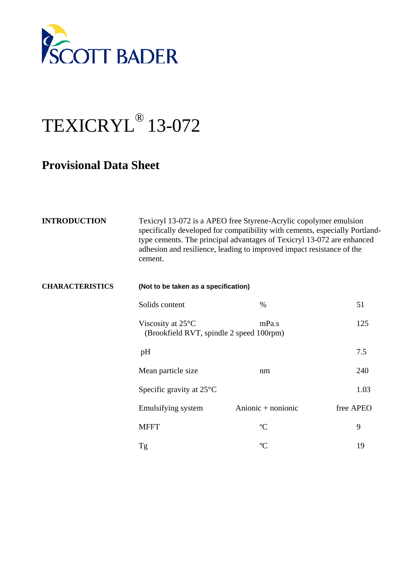

## TEXICRYL® 13-072

## **Provisional Data Sheet**

| <b>INTRODUCTION</b>    | Texicryl 13-072 is a APEO free Styrene-Acrylic copolymer emulsion<br>specifically developed for compatibility with cements, especially Portland-<br>type cements. The principal advantages of Texicryl 13-072 are enhanced<br>adhesion and resilience, leading to improved impact resistance of the<br>cement. |                      |           |
|------------------------|----------------------------------------------------------------------------------------------------------------------------------------------------------------------------------------------------------------------------------------------------------------------------------------------------------------|----------------------|-----------|
| <b>CHARACTERISTICS</b> | (Not to be taken as a specification)                                                                                                                                                                                                                                                                           |                      |           |
|                        | Solids content                                                                                                                                                                                                                                                                                                 | $\%$                 | 51        |
|                        | Viscosity at $25^{\circ}$ C<br>(Brookfield RVT, spindle 2 speed 100rpm)                                                                                                                                                                                                                                        | mPa.s                | 125       |
|                        | pH                                                                                                                                                                                                                                                                                                             |                      | 7.5       |
|                        | Mean particle size                                                                                                                                                                                                                                                                                             | nm                   | 240       |
|                        | Specific gravity at $25^{\circ}$ C                                                                                                                                                                                                                                                                             |                      | 1.03      |
|                        | Emulsifying system                                                                                                                                                                                                                                                                                             | Anionic $+$ nonionic | free APEO |
|                        | <b>MFFT</b>                                                                                                                                                                                                                                                                                                    | $\rm ^{o}C$          | 9         |
|                        | Tg                                                                                                                                                                                                                                                                                                             | $\rm ^{o}C$          | 19        |
|                        |                                                                                                                                                                                                                                                                                                                |                      |           |